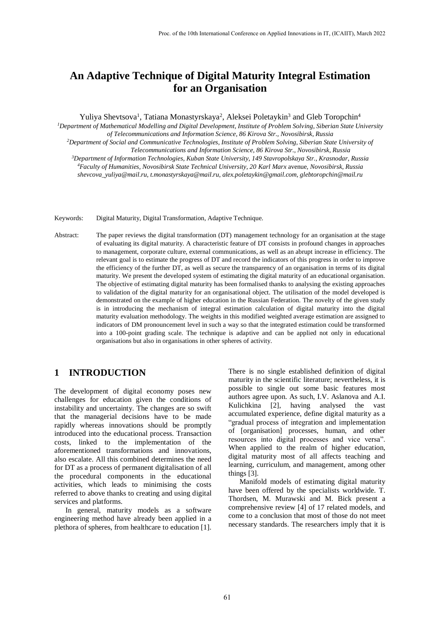# **An Adaptive Technique of Digital Maturity Integral Estimation for an Organisation**

Yuliya Shevtsova<sup>1</sup>, Tatiana Monastyrskaya<sup>2</sup>, Aleksei Poletaykin<sup>3</sup> and Gleb Toropchin<sup>4</sup>

*<sup>1</sup>Department of Mathematical Modelling and Digital Development, Institute of Problem Solving, Siberian State University of Telecommunications and Information Science, 86 Kirova Str., Novosibirsk, Russia*

*<sup>2</sup>Department of Social and Communicative Technologies, Institute of Problem Solving, Siberian State University of Telecommunications and Information Science, 86 Kirova Str., Novosibirsk, Russia*

*<sup>3</sup>Department of Information Technologies, Kuban State University, 149 Stavropolskaya Str., Krasnodar, Russia <sup>4</sup>Faculty of Humanities, Novosibirsk State Technical University, 20 Karl Marx* avenue*, Novosibirsk, Russia*

*shevcova\_yuliya@mail.ru, t.monastyrskaya@mail.ru, alex.poletaykin@gmail.com, glebtoropchin@mail.ru*

Keywords: Digital Maturity, Digital Transformation, Adaptive Technique.

Abstract: The paper reviews the digital transformation (DT) management technology for an organisation at the stage of evaluating its digital maturity. A characteristic feature of DT consists in profound changes in approaches to management, corporate culture, external communications, as well as an abrupt increase in efficiency. The relevant goal is to estimate the progress of DT and record the indicators of this progress in order to improve the efficiency of the further DT, as well as secure the transparency of an organisation in terms of its digital maturity. We present the developed system of estimating the digital maturity of an educational organisation. The objective of estimating digital maturity has been formalised thanks to analysing the existing approaches to validation of the digital maturity for an organisational object. The utilisation of the model developed is demonstrated on the example of higher education in the Russian Federation. The novelty of the given study is in introducing the mechanism of integral estimation calculation of digital maturity into the digital maturity evaluation methodology. The weights in this modified weighted average estimation are assigned to indicators of DM pronouncement level in such a way so that the integrated estimation could be transformed into a 100-point grading scale. The technique is adaptive and can be applied not only in educational organisations but also in organisations in other spheres of activity.

### **1 INTRODUCTION**

The development of digital economy poses new challenges for education given the conditions of instability and uncertainty. The changes are so swift that the managerial decisions have to be made rapidly whereas innovations should be promptly introduced into the educational process. Transaction costs, linked to the implementation of the aforementioned transformations and innovations, also escalate. All this combined determines the need for DT as a process of permanent digitalisation of all the procedural components in the educational activities, which leads to minimising the costs referred to above thanks to creating and using digital services and platforms.

In general, maturity models as a software engineering method have already been applied in a plethora of spheres, from healthcare to education [1].

There is no single established definition of digital maturity in the scientific literature; nevertheless, it is possible to single out some basic features most authors agree upon. As such, I.V. Aslanova and A.I. Kulichkina [2], having analysed the vast accumulated experience, define digital maturity as a "gradual process of integration and implementation of [organisation] processes, human, and other resources into digital processes and vice versa". When applied to the realm of higher education, digital maturity most of all affects teaching and learning, curriculum, and management, among other things [3].

Manifold models of estimating digital maturity have been offered by the specialists worldwide. T. Thordsen, M. Murawski and M. Bick present a comprehensive review [4] of 17 related models, and come to a conclusion that most of those do not meet necessary standards. The researchers imply that it is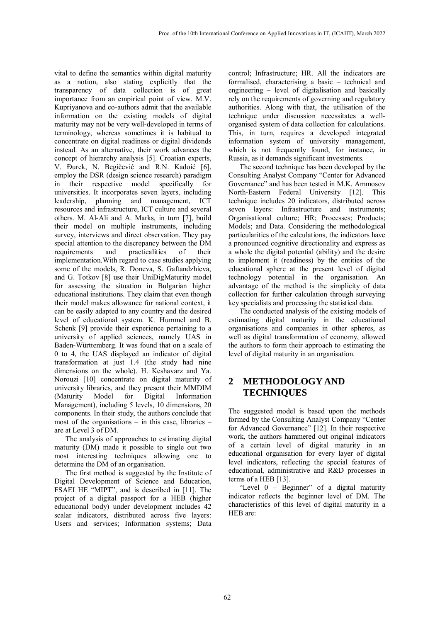vital to define the semantics within digital maturity as a notion, also stating explicitly that the transparency of data collection is of great importance from an empirical point of view. M.V. Kupriyanova and co-authors admit that the available information on the existing models of digital maturity may not be very well-developed in terms of terminology, whereas sometimes it is habitual to concentrate on digital readiness or digital dividends instead. As an alternative, their work advances the concept of hierarchy analysis [5]. Croatian experts, V. Đurek, N. Begičević and R.N. Kadoić [6], employ the DSR (design science research) paradigm in their respective model specifically for universities. It incorporates seven layers, including leadership, planning and management, ICT resources and infrastructure, ICT culture and several others. M. Al-Ali and A. Marks, in turn [7], build their model on multiple instruments, including survey, interviews and direct observation. They pay special attention to the discrepancy between the DM requirements and practicalities of their implementation.With regard to case studies applying some of the models, R. Doneva, S. Gaftandzhieva, and G. Totkov [8] use their UniDigMaturity model for assessing the situation in Bulgarian higher educational institutions. They claim that even though their model makes allowance for national context, it can be easily adapted to any country and the desired level of educational system. K. Hummel and B. Schenk [9] provide their experience pertaining to a university of applied sciences, namely UAS in Baden-Württemberg. It was found that on a scale of 0 to 4, the UAS displayed an indicator of digital transformation at just 1.4 (the study had nine dimensions on the whole). H. Keshavarz and Ya. Norouzi [10] concentrate on digital maturity of university libraries, and they present their MMDIM (Maturity Model for Digital Information Management), including 5 levels, 10 dimensions, 20 components. In their study, the authors conclude that most of the organisations – in this case, libraries – are at Level 3 of DM.

The analysis of approaches to estimating digital maturity (DM) made it possible to single out two most interesting techniques allowing one to determine the DM of an organisation.

The first method is suggested by the Institute of Digital Development of Science and Education, FSAEI HE "MIPT", and is described in [11]. The project of a digital passport for a HEB (higher educational body) under development includes 42 scalar indicators, distributed across five layers: Users and services; Information systems; Data control; Infrastructure; HR. All the indicators are formalised, characterising a basic – technical and engineering – level of digitalisation and basically rely on the requirements of governing and regulatory authorities. Along with that, the utilisation of the technique under discussion necessitates a wellorganised system of data collection for calculations. This, in turn, requires a developed integrated information system of university management, which is not frequently found, for instance, in Russia, as it demands significant investments.

The second technique has been developed by the Consulting Analyst Company "Center for Advanced Governance" and has been tested in M.K. Ammosov North-Eastern Federal University [12]. This technique includes 20 indicators, distributed across seven layers: Infrastructure and instruments; Organisational culture; HR; Processes; Products; Models; and Data. Considering the methodological particularities of the calculations, the indicators have a pronounced cognitive directionality and express as a whole the digital potential (ability) and the desire to implement it (readiness) by the entities of the educational sphere at the present level of digital technology potential in the organisation. An advantage of the method is the simplicity of data collection for further calculation through surveying key specialists and processing the statistical data.

The conducted analysis of the existing models of estimating digital maturity in the educational organisations and companies in other spheres, as well as digital transformation of economy, allowed the authors to form their approach to estimating the level of digital maturity in an organisation.

## **2 METHODOLOGY AND TECHNIQUES**

The suggested model is based upon the methods formed by the Consulting Analyst Company "Center for Advanced Governance" [12]. In their respective work, the authors hammered out original indicators of a certain level of digital maturity in an educational organisation for every layer of digital level indicators, reflecting the special features of educational, administrative and R&D processes in terms of a HEB [13].

"Level 0 – Beginner" of a digital maturity indicator reflects the beginner level of DM. The characteristics of this level of digital maturity in a HEB are: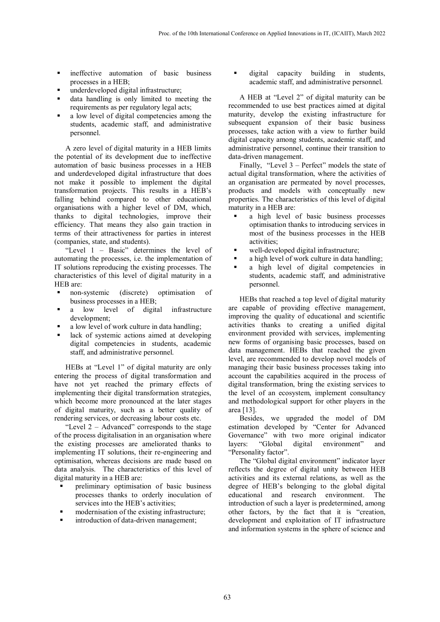- **n** ineffective automation of basic business processes in a HEB;
- underdeveloped digital infrastructure;
- data handling is only limited to meeting the requirements as per regulatory legal acts;
- a low level of digital competencies among the students, academic staff, and administrative personnel.

A zero level of digital maturity in a HEB limits the potential of its development due to ineffective automation of basic business processes in a HEB and underdeveloped digital infrastructure that does not make it possible to implement the digital transformation projects. This results in a HEB's falling behind compared to other educational organisations with a higher level of DM, which, thanks to digital technologies, improve their efficiency. That means they also gain traction in terms of their attractiveness for parties in interest (companies, state, and students).

"Level 1 – Basic" determines the level of automating the processes, i.e. the implementation of IT solutions reproducing the existing processes. The characteristics of this level of digital maturity in a HEB are:

- non-systemic (discrete) optimisation of business processes in a HEB;
- a low level of digital infrastructure development;
- a low level of work culture in data handling;
- lack of systemic actions aimed at developing digital competencies in students, academic staff, and administrative personnel.

HEBs at "Level 1" of digital maturity are only entering the process of digital transformation and have not yet reached the primary effects of implementing their digital transformation strategies, which become more pronounced at the later stages of digital maturity, such as a better quality of rendering services, or decreasing labour costs etc.

"Level 2 – Advanced" corresponds to the stage of the process digitalisation in an organisation where the existing processes are ameliorated thanks to implementing IT solutions, their re-engineering and optimisation, whereas decisions are made based on data analysis. The characteristics of this level of digital maturity in a HEB are:

- preliminary optimisation of basic business processes thanks to orderly inoculation of services into the HEB's activities;
- modernisation of the existing infrastructure;
- introduction of data-driven management;

 digital capacity building in students, academic staff, and administrative personnel.

A HEB at "Level 2" of digital maturity can be recommended to use best practices aimed at digital maturity, develop the existing infrastructure for subsequent expansion of their basic business processes, take action with a view to further build digital capacity among students, academic staff, and administrative personnel, continue their transition to data-driven management.

Finally, "Level 3 – Perfect" models the state of actual digital transformation, where the activities of an organisation are permeated by novel processes, products and models with conceptually new properties. The characteristics of this level of digital maturity in a HEB are:

- a high level of basic business processes optimisation thanks to introducing services in most of the business processes in the HEB activities;
- well-developed digital infrastructure;
- a high level of work culture in data handling;
- a high level of digital competencies in students, academic staff, and administrative personnel.

HEBs that reached a top level of digital maturity are capable of providing effective management, improving the quality of educational and scientific activities thanks to creating a unified digital environment provided with services, implementing new forms of organising basic processes, based on data management. HEBs that reached the given level, are recommended to develop novel models of managing their basic business processes taking into account the capabilities acquired in the process of digital transformation, bring the existing services to the level of an ecosystem, implement consultancy and methodological support for other players in the area [13].

Besides, we upgraded the model of DM estimation developed by "Center for Advanced Governance" with two more original indicator layers: "Global digital environment" and "Personality factor".

The "Global digital environment" indicator layer reflects the degree of digital unity between HEB activities and its external relations, as well as the degree of HEB's belonging to the global digital educational and research environment. The introduction of such a layer is predetermined, among other factors, by the fact that it is "creation, development and exploitation of IT infrastructure and information systems in the sphere of science and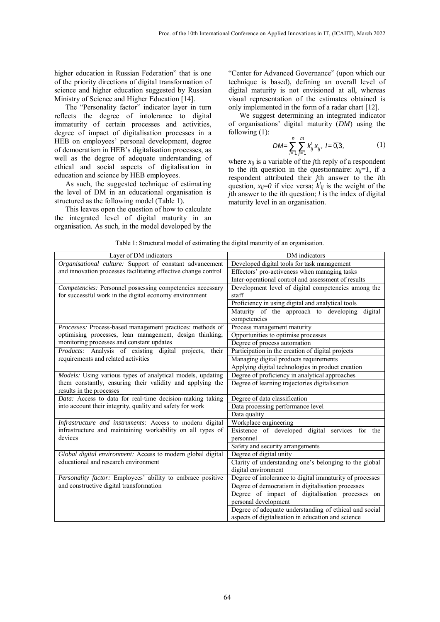higher education in Russian Federation" that is one of the priority directions of digital transformation of science and higher education suggested by Russian Ministry of Science and Higher Education [14].

The "Personality factor" indicator layer in turn reflects the degree of intolerance to digital immaturity of certain processes and activities, degree of impact of digitalisation processes in a HEB on employees' personal development, degree of democratism in HEB's digitalisation processes, as well as the degree of adequate understanding of ethical and social aspects of digitalisation in education and science by HEB employees.

As such, the suggested technique of estimating the level of DM in an educational organisation is structured as the following model (Table 1).

This leaves open the question of how to calculate the integrated level of digital maturity in an organisation. As such, in the model developed by the

"Center for Advanced Governance" (upon which our technique is based), defining an overall level of digital maturity is not envisioned at all, whereas visual representation of the estimates obtained is only implemented in the form of a radar chart [12].

We suggest determining an integrated indicator of organisations' digital maturity (*DM*) using the following (1):

$$
DM = \sum_{i=1}^{n} \sum_{j=1}^{m} k'_{ij} x_{ij}, l = \overline{0,3},
$$
 (1)

where  $x_{ii}$  is a variable of the *j*th reply of a respondent to the *i*th question in the questionnaire:  $x_{ii} = 1$ , if a respondent attributed their *j*th answer to the *i*th question,  $x_{ij}=0$  if vice versa;  $k^l_{ij}$  is the weight of the *j*th answer to the *i*th question; *l* is the index of digital maturity level in an organisation.

| Layer of DM indicators                                         | DM indicators                                            |
|----------------------------------------------------------------|----------------------------------------------------------|
| Organisational culture: Support of constant advancement        | Developed digital tools for task management              |
| and innovation processes facilitating effective change control | Effectors' pro-activeness when managing tasks            |
|                                                                | Inter-operational control and assessment of results      |
| Competencies: Personnel possessing competencies necessary      | Development level of digital competencies among the      |
| for successful work in the digital economy environment         | staff                                                    |
|                                                                | Proficiency in using digital and analytical tools        |
|                                                                | Maturity of the approach to developing<br>digital        |
|                                                                | competencies                                             |
| Processes: Process-based management practices: methods of      | Process management maturity                              |
| optimising processes, lean management, design thinking;        | Opportunities to optimise processes                      |
| monitoring processes and constant updates                      | Degree of process automation                             |
| Products: Analysis of existing digital projects, their         | Participation in the creation of digital projects        |
| requirements and related activities                            | Managing digital products requirements                   |
|                                                                | Applying digital technologies in product creation        |
| Models: Using various types of analytical models, updating     | Degree of proficiency in analytical approaches           |
| them constantly, ensuring their validity and applying the      | Degree of learning trajectories digitalisation           |
| results in the processes                                       |                                                          |
| Data: Access to data for real-time decision-making taking      | Degree of data classification                            |
| into account their integrity, quality and safety for work      | Data processing performance level                        |
|                                                                | Data quality                                             |
| Infrastructure and instruments: Access to modern digital       | Workplace engineering                                    |
| infrastructure and maintaining workability on all types of     | Existence of developed digital services for the          |
| devices                                                        | personnel                                                |
|                                                                | Safety and security arrangements                         |
| Global digital environment: Access to modern global digital    | Degree of digital unity                                  |
| educational and research environment                           | Clarity of understanding one's belonging to the global   |
|                                                                | digital environment                                      |
| Personality factor: Employees' ability to embrace positive     | Degree of intolerance to digital immaturity of processes |
| and constructive digital transformation                        | Degree of democratism in digitalisation processes        |
|                                                                | Degree of impact of digitalisation processes on          |
|                                                                | personal development                                     |
|                                                                | Degree of adequate understanding of ethical and social   |
|                                                                | aspects of digitalisation in education and science       |
|                                                                |                                                          |

Table 1: Structural model of estimating the digital maturity of an organisation.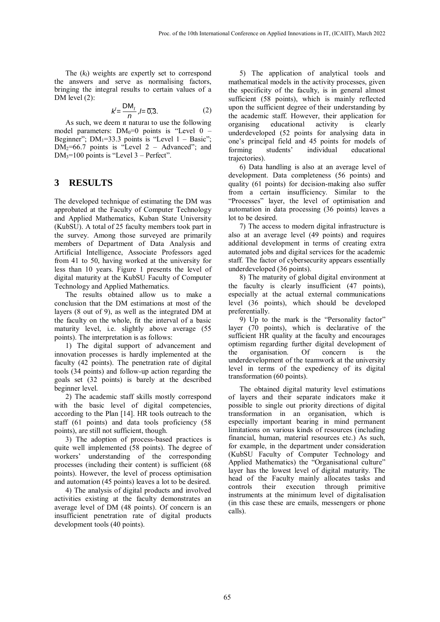The (*kl*) weights are expertly set to correspond the answers and serve as normalising factors, bringing the integral results to certain values of a DM level (2):

$$
k' = \frac{\mathsf{DM}_1}{n}, l = \overline{0,3}.
$$
 (2)

As such, we deem it natural to use the following model parameters:  $DM_0=0$  points is "Level  $0$  – Beginner";  $DM_1 = 33.3$  points is "Level  $1 - Basic$ ";  $DM<sub>2</sub>=66.7$  points is "Level 2 – Advanced"; and  $DM<sub>3</sub>=100$  points is "Level 3 – Perfect".

### **3 RESULTS**

The developed technique of estimating the DM was approbated at the Faculty of Computer Technology and Applied Mathematics, Kuban State University (KubSU). A total of 25 faculty members took part in the survey. Among those surveyed are primarily members of Department of Data Analysis and Artificial Intelligence, Associate Professors aged from 41 to 50, having worked at the university for less than 10 years. Figure 1 presents the level of digital maturity at the KubSU Faculty of Computer Technology and Applied Mathematics.

The results obtained allow us to make a conclusion that the DM estimations at most of the layers (8 out of 9), as well as the integrated DM at the faculty on the whole, fit the interval of a basic maturity level, i.e. slightly above average (55 points). The interpretation is as follows:

1) The digital support of advancement and innovation processes is hardly implemented at the faculty (42 points). The penetration rate of digital tools (34 points) and follow-up action regarding the goals set (32 points) is barely at the described beginner level.

2) The academic staff skills mostly correspond with the basic level of digital competencies, according to the Plan [14]. HR tools outreach to the staff (61 points) and data tools proficiency (58 points), are still not sufficient, though.

3) The adoption of process-based practices is quite well implemented (58 points). The degree of workers' understanding of the corresponding processes (including their content) is sufficient (68 points). However, the level of process optimisation and automation (45 points) leaves a lot to be desired.

4) The analysis of digital products and involved activities existing at the faculty demonstrates an average level of DM (48 points). Of concern is an insufficient penetration rate of digital products development tools (40 points).

5) The application of analytical tools and mathematical models in the activity processes, given the specificity of the faculty, is in general almost sufficient (58 points), which is mainly reflected upon the sufficient degree of their understanding by the academic staff. However, their application for organising educational activity is clearly underdeveloped (52 points for analysing data in one's principal field and 45 points for models of forming students' individual educational trajectories).

6) Data handling is also at an average level of development. Data completeness (56 points) and quality (61 points) for decision-making also suffer from a certain insufficiency. Similar to the "Processes" layer, the level of optimisation and automation in data processing (36 points) leaves a lot to be desired.

7) The access to modern digital infrastructure is also at an average level (49 points) and requires additional development in terms of creating extra automated jobs and digital services for the academic staff. The factor of cybersecurity appears essentially underdeveloped (36 points).

8) The maturity of global digital environment at the faculty is clearly insufficient (47 points), especially at the actual external communications level (36 points), which should be developed preferentially.

9) Up to the mark is the "Personality factor" layer (70 points), which is declarative of the sufficient HR quality at the faculty and encourages optimism regarding further digital development of the organisation. Of concern is the underdevelopment of the teamwork at the university level in terms of the expediency of its digital transformation (60 points).

The obtained digital maturity level estimations of layers and their separate indicators make it possible to single out priority directions of digital transformation in an organisation, which is especially important bearing in mind permanent limitations on various kinds of resources (including financial, human, material resources etc.) As such, for example, in the department under consideration (KubSU Faculty of Computer Technology and Applied Mathematics) the "Organisational culture" layer has the lowest level of digital maturity. The head of the Faculty mainly allocates tasks and controls their execution through primitive instruments at the minimum level of digitalisation (in this case these are emails, messengers or phone calls).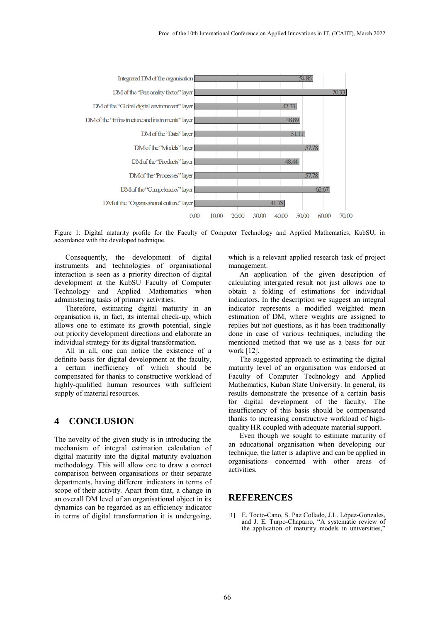

Figure 1: Digital maturity profile for the Faculty of Computer Technology and Applied Mathematics, KubSU, in accordance with the developed technique.

Consequently, the development of digital instruments and technologies of organisational interaction is seen as a priority direction of digital development at the KubSU Faculty of Computer Technology and Applied Mathematics when administering tasks of primary activities.

Therefore, estimating digital maturity in an organisation is, in fact, its internal check-up, which allows one to estimate its growth potential, single out priority development directions and elaborate an individual strategy for its digital transformation.

All in all, one can notice the existence of a definite basis for digital development at the faculty, a certain inefficiency of which should be compensated for thanks to constructive workload of highly-qualified human resources with sufficient supply of material resources.

#### **4 CONCLUSION**

The novelty of the given study is in introducing the mechanism of integral estimation calculation of digital maturity into the digital maturity evaluation methodology. This will allow one to draw a correct comparison between organisations or their separate departments, having different indicators in terms of scope of their activity. Apart from that, a change in an overall DM level of an organisational object in its dynamics can be regarded as an efficiency indicator in terms of digital transformation it is undergoing,

which is a relevant applied research task of project management.

An application of the given description of calculating intergated result not just allows one to obtain a folding of estimations for individual indicators. In the description we suggest an integral indicator represents a modified weighted mean estimation of DM, where weights are assigned to replies but not questions, as it has been traditionally done in case of various techniques, including the mentioned method that we use as a basis for our work [12].

The suggested approach to estimating the digital maturity level of an organisation was endorsed at Faculty of Computer Technology and Applied Mathematics, Kuban State University. In general, its results demonstrate the presence of a certain basis for digital development of the faculty. The insufficiency of this basis should be compensated thanks to increasing constructive workload of highquality HR coupled with adequate material support.

Even though we sought to estimate maturity of an educational organisation when developing our technique, the latter is adaptive and can be applied in organisations concerned with other areas of activities.

#### **REFERENCES**

[1] E. Tocto-Cano, S. Paz Collado, J.L. López-Gonzales, and J. E. Turpo-Chaparro, "A systematic review of the application of maturity models in universities,"